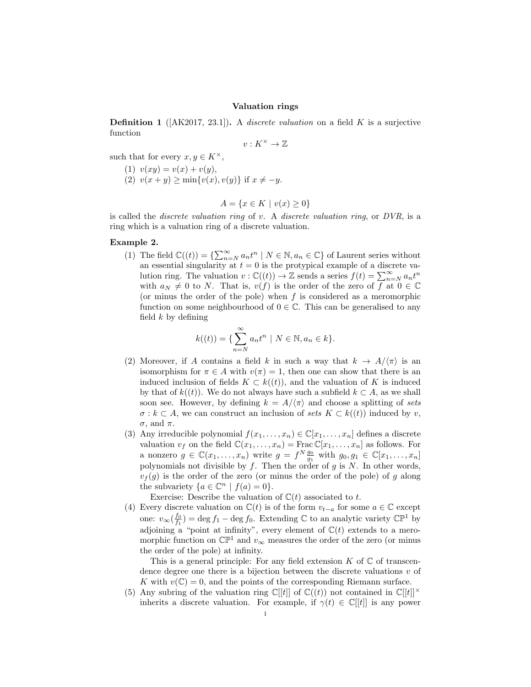## Valuation rings

**Definition 1** ( $[AK2017, 23.1]$ ). A *discrete valuation* on a field K is a surjective function

$$
v:K^\times\to\mathbb{Z}
$$

such that for every  $x, y \in K^{\times}$ ,

- (1)  $v(xy) = v(x) + v(y),$
- (2)  $v(x + y) \ge \min\{v(x), v(y)\}\;$  if  $x \ne -y$ .

$$
A = \{ x \in K \mid v(x) \ge 0 \}
$$

is called the *discrete valuation ring* of v. A *discrete valuation ring*, or  $DVR$ , is a ring which is a valuation ring of a discrete valuation.

## Example 2.

(1) The field  $\mathbb{C}((t)) = \{ \sum_{n=N}^{\infty} a_n t^n \mid N \in \mathbb{N}, a_n \in \mathbb{C} \}$  of Laurent series without an essential singularity at  $t = 0$  is the protypical example of a discrete valution ring. The valuation  $v : \mathbb{C}((t)) \to \mathbb{Z}$  sends a series  $f(t) = \sum_{n=N}^{\infty} a_n t^n$ with  $a_N \neq 0$  to N. That is,  $v(f)$  is the order of the zero of f at  $0 \in \mathbb{C}$ (or minus the order of the pole) when  $f$  is considered as a meromorphic function on some neighbourhood of  $0 \in \mathbb{C}$ . This can be generalised to any field  $k$  by defining

$$
k((t)) = \{ \sum_{n=N}^{\infty} a_n t^n \mid N \in \mathbb{N}, a_n \in k \}.
$$

- (2) Moreover, if A contains a field k in such a way that  $k \to A/\langle \pi \rangle$  is an isomorphism for  $\pi \in A$  with  $v(\pi) = 1$ , then one can show that there is an induced inclusion of fields  $K \subset k((t))$ , and the valuation of K is induced by that of  $k((t))$ . We do not always have such a subfield  $k \subset A$ , as we shall soon see. However, by defining  $k = A/\langle \pi \rangle$  and choose a splitting of sets  $\sigma : k \subset A$ , we can construct an inclusion of sets  $K \subset k((t))$  induced by v,  $\sigma$ , and  $\pi$ .
- (3) Any irreducible polynomial  $f(x_1, \ldots, x_n) \in \mathbb{C}[x_1, \ldots, x_n]$  defines a discrete valuation  $v_f$  on the field  $\mathbb{C}(x_1, \ldots, x_n) = \text{Frac}\mathbb{C}[x_1, \ldots, x_n]$  as follows. For a nonzero  $g \in \mathbb{C}(x_1,\ldots,x_n)$  write  $g = f^N \frac{g_0}{g_1}$  with  $g_0, g_1 \in \mathbb{C}[x_1,\ldots,x_n]$ polynomials not divisible by  $f$ . Then the order of  $g$  is  $N$ . In other words,  $v_f(q)$  is the order of the zero (or minus the order of the pole) of g along the subvariety  $\{a \in \mathbb{C}^n \mid f(a) = 0\}.$

Exercise: Describe the valuation of  $\mathbb{C}(t)$  associated to t.

(4) Every discrete valuation on  $\mathbb{C}(t)$  is of the form  $v_{t-a}$  for some  $a \in \mathbb{C}$  except one:  $v_{\infty}(\frac{f_0}{f_1}) = \deg f_1 - \deg f_0$ . Extending  $\mathbb C$  to an analytic variety  $\mathbb{CP}^1$  by adjoining a "point at infinity", every element of  $\mathbb{C}(t)$  extends to a meromorphic function on  $\mathbb{CP}^1$  and  $v_{\infty}$  measures the order of the zero (or minus the order of the pole) at infinity.

This is a general principle: For any field extension  $K$  of  $\mathbb C$  of transcendence degree one there is a bijection between the discrete valuations  $v$  of K with  $v(\mathbb{C}) = 0$ , and the points of the corresponding Riemann surface.

(5) Any subring of the valuation ring  $\mathbb{C}[[t]]$  of  $\mathbb{C}((t))$  not contained in  $\mathbb{C}[[t]]^{\times}$ inherits a discrete valuation. For example, if  $\gamma(t) \in \mathbb{C}[[t]]$  is any power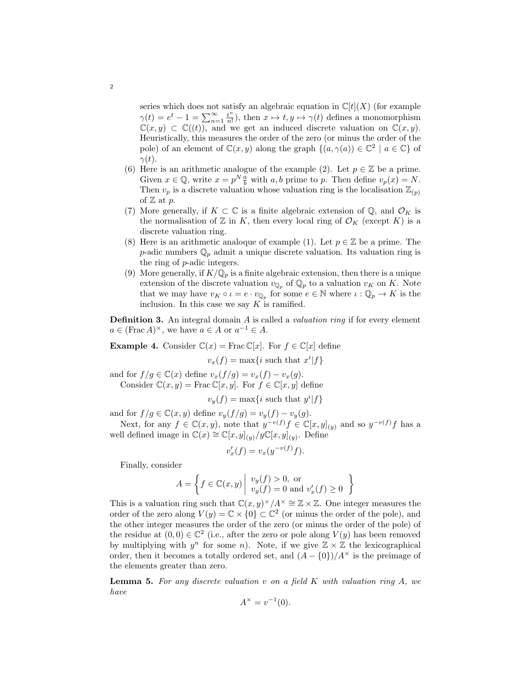series which does not satisfy an algebraic equation in  $\mathbb{C}[t](X)$  (for example  $\gamma(t) = e^t - 1 = \sum_{n=1}^{\infty} \frac{t^n}{n!}$  $\frac{t^n}{n!}$ , then  $x \mapsto t, y \mapsto \gamma(t)$  defines a monomorphism  $\mathbb{C}(x, y) \subset \mathbb{C}((t))$ , and we get an induced discrete valuation on  $\mathbb{C}(x, y)$ . Heuristically, this measures the order of the zero (or minus the order of the pole) of an element of  $\mathbb{C}(x, y)$  along the graph  $\{(a, \gamma(a)) \in \mathbb{C}^2 \mid a \in \mathbb{C}\}\$  of  $\gamma(t)$ .

- (6) Here is an arithmetic analogue of the example (2). Let  $p \in \mathbb{Z}$  be a prime. Given  $x \in \mathbb{Q}$ , write  $x = p^N \frac{a}{b}$  with a, b prime to p. Then define  $v_p(x) = N$ . Then  $v_p$  is a discrete valuation whose valuation ring is the localisation  $\mathbb{Z}_{(p)}$ of  $\mathbb Z$  at  $p$ .
- (7) More generally, if  $K \subset \mathbb{C}$  is a finite algebraic extension of  $\mathbb{Q}$ , and  $\mathcal{O}_K$  is the normalisation of  $\mathbb Z$  in K, then every local ring of  $\mathcal O_K$  (except K) is a discrete valuation ring.
- (8) Here is an arithmetic analoque of example (1). Let  $p \in \mathbb{Z}$  be a prime. The p-adic numbers  $\mathbb{Q}_p$  admit a unique discrete valuation. Its valuation ring is the ring of p-adic integers.
- (9) More generally, if  $K/\mathbb{Q}_p$  is a finite algebraic extension, then there is a unique extension of the discrete valuation  $v_{\mathbb{Q}_p}$  of  $\mathbb{Q}_p$  to a valuation  $v_K$  on K. Note that we may have  $v_K \circ \iota = e \cdot v_{\mathbb{Q}_p}$  for some  $e \in \mathbb{N}$  where  $\iota : \mathbb{Q}_p \to K$  is the inclusion. In this case we say  $K$  is ramified.

**Definition 3.** An integral domain  $A$  is called a *valuation ring* if for every element  $a \in (\text{Frac }A)^\times$ , we have  $a \in A$  or  $a^{-1} \in A$ .

**Example 4.** Consider  $\mathbb{C}(x) = \text{Frac}\mathbb{C}[x]$ . For  $f \in \mathbb{C}[x]$  define

 $v_x(f) = \max\{i \text{ such that } x^i | f\}$ 

and for  $f/g \in \mathbb{C}(x)$  define  $v_x(f/g) = v_x(f) - v_x(g)$ . Consider  $\mathbb{C}(x, y) = \text{Frac}\,\mathbb{C}[x, y]$ . For  $f \in \mathbb{C}[x, y]$  define

 $v_y(f) = \max\{i \text{ such that } y^i|f\}$ 

and for  $f/g \in \mathbb{C}(x, y)$  define  $v_y(f/g) = v_y(f) - v_y(g)$ .

Next, for any  $f \in \mathbb{C}(x, y)$ , note that  $y^{-v(f)} f \in \mathbb{C}[x, y]_{(y)}$  and so  $y^{-v(f)} f$  has a well defined image in  $\mathbb{C}(x) \cong \mathbb{C}[x,y]_{(y)}/y\mathbb{C}[x,y]_{(y)}$ . Define

$$
v'_x(f) = v_x(y^{-v(f)}f).
$$

Finally, consider

$$
A = \left\{ f \in \mathbb{C}(x, y) \middle| \begin{array}{l} v_y(f) > 0, \text{ or} \\ v_y(f) = 0 \text{ and } v'_x(f) \ge 0 \end{array} \right\}
$$

This is a valuation ring such that  $\mathbb{C}(x, y)^{\times}/A^{\times} \cong \mathbb{Z} \times \mathbb{Z}$ . One integer measures the order of the zero along  $V(y) = \mathbb{C} \times \{0\} \subset \mathbb{C}^2$  (or minus the order of the pole), and the other integer measures the order of the zero (or minus the order of the pole) of the residue at  $(0,0) \in \mathbb{C}^2$  (i.e., after the zero or pole along  $V(y)$  has been removed by multiplying with  $y^n$  for some n). Note, if we give  $\mathbb{Z} \times \mathbb{Z}$  the lexicographical order, then it becomes a totally ordered set, and  $(A - \{0\})/A^{\times}$  is the preimage of the elements greater than zero.

<span id="page-1-0"></span>**Lemma 5.** For any discrete valuation v on a field  $K$  with valuation ring  $A$ , we have

$$
A^{\times} = v^{-1}(0).
$$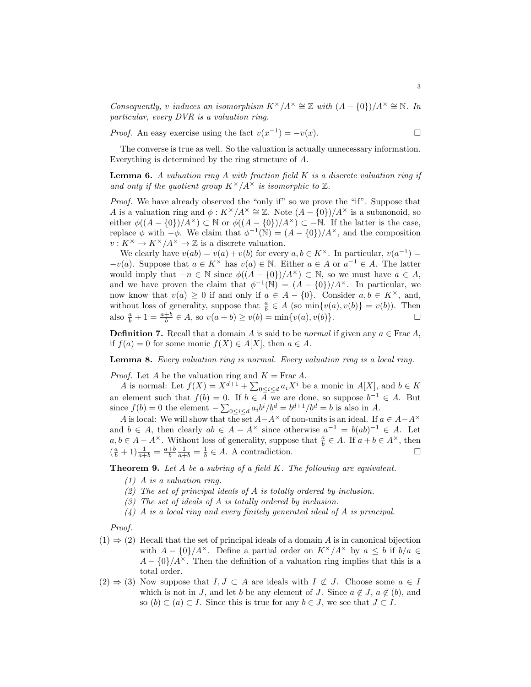Consequently, v induces an isomorphism  $K^{\times}/A^{\times} \cong \mathbb{Z}$  with  $(A - \{0\})/A^{\times} \cong \mathbb{N}$ . In particular, every DVR is a valuation ring.

*Proof.* An easy exercise using the fact  $v(x^{-1}) = -v(x)$ .

The converse is true as well. So the valuation is actually unnecessary information. Everything is determined by the ring structure of A.

**Lemma 6.** A valuation ring A with fraction field K is a discrete valuation ring if and only if the quotient group  $K^{\times}/A^{\times}$  is isomorphic to  $\mathbb{Z}$ .

Proof. We have already observed the "only if" so we prove the "if". Suppose that A is a valuation ring and  $\phi: K^{\times}/A^{\times} \cong \mathbb{Z}$ . Note  $(A - \{0\})/A^{\times}$  is a submonoid, so either  $\phi((A - \{0\})/A^{\times}) \subset \mathbb{N}$  or  $\phi((A - \{0\})/A^{\times}) \subset -\mathbb{N}$ . If the latter is the case, replace  $\phi$  with  $-\phi$ . We claim that  $\phi^{-1}(\mathbb{N}) = (A - \{0\})/A^{\times}$ , and the composition  $v: K^{\times} \to K^{\times}/A^{\times} \to \mathbb{Z}$  is a discrete valuation.

We clearly have  $v(ab) = v(a) + v(b)$  for every  $a, b \in K^{\times}$ . In particular,  $v(a^{-1}) =$  $-v(a)$ . Suppose that  $a \in K^{\times}$  has  $v(a) \in \mathbb{N}$ . Either  $a \in A$  or  $a^{-1} \in A$ . The latter would imply that  $-n \in \mathbb{N}$  since  $\phi((A - \{0\})/A^{\times}) \subset \mathbb{N}$ , so we must have  $a \in A$ , and we have proven the claim that  $\phi^{-1}(\mathbb{N}) = (A - \{0\})/A^{\times}$ . In particular, we now know that  $v(a) \geq 0$  if and only if  $a \in A - \{0\}$ . Consider  $a, b \in K^{\times}$ , and, without loss of generality, suppose that  $\frac{a}{b} \in A$  (so  $\min\{v(a), v(b)\} = v(b)$ ). Then also  $\frac{a}{b} + 1 = \frac{a+b}{b} \in A$ , so  $v(a+b) \ge v(b) = \min\{v(a), v(b)\}.$ 

**Definition 7.** Recall that a domain A is said to be normal if given any  $a \in \text{Frac } A$ , if  $f(a) = 0$  for some monic  $f(X) \in A[X]$ , then  $a \in A$ .

<span id="page-2-0"></span>Lemma 8. Every valuation ring is normal. Every valuation ring is a local ring.

*Proof.* Let A be the valuation ring and  $K = \text{Frac } A$ .

A is normal: Let  $f(X) = X^{d+1} + \sum_{0 \leq i \leq d} a_i X^i$  be a monic in  $A[X]$ , and  $b \in K$ an element such that  $f(b) = 0$ . If  $b \in \overline{A}$  we are done, so suppose  $b^{-1} \in A$ . But since  $f(b) = 0$  the element  $-\sum_{0 \le i \le d} a_i b^i / b^d = b^{d+1} / b^d = b$  is also in A.

A is local: We will show that the set  $A-A^{\times}$  of non-units is an ideal. If  $a \in A-A^{\times}$ and  $b \in A$ , then clearly  $ab \in A - A^{\times}$  since otherwise  $a^{-1} = b(ab)^{-1} \in A$ . Let  $a, b \in A - A^{\times}$ . Without loss of generality, suppose that  $\frac{a}{b} \in A$ . If  $a + b \in A^{\times}$ , then  $\left(\frac{a}{b}+1\right)\frac{1}{a+b} = \frac{a+b}{b}\frac{1}{a+b} = \frac{1}{b} \in A$ . A contradiction.

Theorem 9. Let A be a subring of a field K. The following are equivalent.

- (1) A is a valuation ring.
- $(2)$  The set of principal ideals of A is totally ordered by inclusion.
- (3) The set of ideals of A is totally ordered by inclusion.
- $(4)$  A is a local ring and every finitely generated ideal of A is principal.

Proof.

- $(1) \Rightarrow (2)$  Recall that the set of principal ideals of a domain A is in canonical bijection with  $A - \{0\}/A^{\times}$ . Define a partial order on  $K^{\times}/A^{\times}$  by  $a \leq b$  if  $b/a \in$  $A - \{0\}/A^{\times}$ . Then the definition of a valuation ring implies that this is a total order.
- $(2) \Rightarrow (3)$  Now suppose that  $I, J \subset A$  are ideals with  $I \not\subset J$ . Choose some  $a \in I$ which is not in J, and let b be any element of J. Since  $a \notin J$ ,  $a \notin (b)$ , and so  $(b) \subset (a) \subset I$ . Since this is true for any  $b \in J$ , we see that  $J \subset I$ .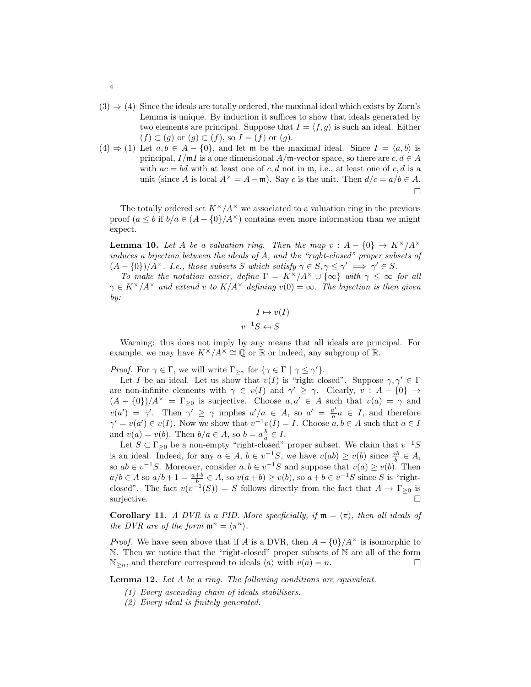- $(3) \Rightarrow (4)$  Since the ideals are totally ordered, the maximal ideal which exists by Zorn's Lemma is unique. By induction it suffices to show that ideals generated by two elements are principal. Suppose that  $I = \langle f, g \rangle$  is such an ideal. Either  $(f) \subset (g)$  or  $(g) \subset (f)$ , so  $I = (f)$  or  $(g)$ .
- $(4) \Rightarrow (1)$  Let  $a, b \in A \{0\}$ , and let m be the maximal ideal. Since  $I = \langle a, b \rangle$  is principal,  $I/\mathfrak{m} I$  is a one dimensional  $A/\mathfrak{m}$ -vector space, so there are  $c, d \in A$ with  $ac = bd$  with at least one of c, d not in  $m$ , i.e., at least one of c, d is a unit (since A is local  $A^{\times} = A - \mathfrak{m}$ ). Say c is the unit. Then  $d/c = a/b \in A$ .  $\Box$

The totally ordered set  $K^{\times}/A^{\times}$  we associated to a valuation ring in the previous proof  $(a \leq b$  if  $b/a \in (A - \{0\})/A^{\times})$  contains even more information than we might expect.

**Lemma 10.** Let A be a valuation ring. Then the map  $v : A - \{0\} \rightarrow K^{\times}/A^{\times}$ induces a bijection between the ideals of A, and the "right-closed" proper subsets of  $(A - \{0\})/A^{\times}$ . I.e., those subsets S which satisfy  $\gamma \in S, \gamma \leq \gamma' \implies \gamma' \in S$ .

To make the notation easier, define  $\Gamma = K^{\times}/A^{\times} \cup {\infty}$  with  $\gamma \leq \infty$  for all  $\gamma \in K^{\times}/A^{\times}$  and extend v to  $K/A^{\times}$  defining  $v(0) = \infty$ . The bijection is then given by:

$$
I \mapsto v(I)
$$

$$
v^{-1}S \leftrightarrow S
$$

Warning: this does not imply by any means that all ideals are principal. For example, we may have  $K^{\times}/A^{\times} \cong \mathbb{Q}$  or  $\mathbb{R}$  or indeed, any subgroup of  $\mathbb{R}$ .

*Proof.* For  $\gamma \in \Gamma$ , we will write  $\Gamma_{\geq \gamma}$  for  $\{\gamma \in \Gamma \mid \gamma \leq \gamma'\}.$ 

Let I be an ideal. Let us show that  $v(I)$  is "right closed". Suppose  $\gamma, \gamma' \in \Gamma$ are non-infinite elements with  $\gamma \in v(I)$  and  $\gamma' \geq \gamma$ . Clearly,  $v : A - \{0\} \to$  $(A - \{0\})/A^{\times} = \Gamma_{\geq 0}$  is surjective. Choose  $a, a' \in A$  such that  $v(a) = \gamma$  and  $v(a') = \gamma'$ . Then  $\gamma' \geq \gamma$  implies  $a'/a \in A$ , so  $a' = \frac{a'}{a}$  $\frac{a'}{a}a \in I$ , and therefore  $\gamma' = v(a') \in v(I)$ . Now we show that  $v^{-1}v(I) = I$ . Choose  $a, b \in A$  such that  $a \in I$ and  $v(a) = v(b)$ . Then  $b/a \in A$ , so  $b = a\frac{b}{a} \in I$ .

Let  $S \subset \Gamma_{\geq 0}$  be a non-empty "right-closed" proper subset. We claim that  $v^{-1}S$ is an ideal. Indeed, for any  $a \in A$ ,  $b \in v^{-1}S$ , we have  $v(ab) \ge v(b)$  since  $\frac{ab}{b} \in A$ , so  $ab \in v^{-1}S$ . Moreover, consider  $a, b \in v^{-1}S$  and suppose that  $v(a) \ge v(b)$ . Then  $a/b \in A$  so  $a/b+1 = \frac{a+b}{b} \in A$ , so  $v(a+b) \ge v(b)$ , so  $a+b \in v^{-1}S$  since S is "rightclosed". The fact  $v(v^{-1}(S)) = S$  follows directly from the fact that  $A \to \Gamma_{\geq 0}$  is surjective.

<span id="page-3-1"></span>**Corollary 11.** A DVR is a PID. More specficially, if  $\mathfrak{m} = \langle \pi \rangle$ , then all ideals of the DVR are of the form  $\mathfrak{m}^n = \langle \pi^n \rangle$ .

*Proof.* We have seen above that if A is a DVR, then  $A - \{0\}/A^{\times}$  is isomorphic to N. Then we notice that the "right-closed" proper subsets of N are all of the form  $\mathbb{N}_{\geq n}$ , and therefore correspond to ideals  $\langle a \rangle$  with  $v(a) = n$ .

<span id="page-3-0"></span>Lemma 12. Let A be a ring. The following conditions are equivalent.

- (1) Every ascending chain of ideals stabilisers.
- (2) Every ideal is finitely generated.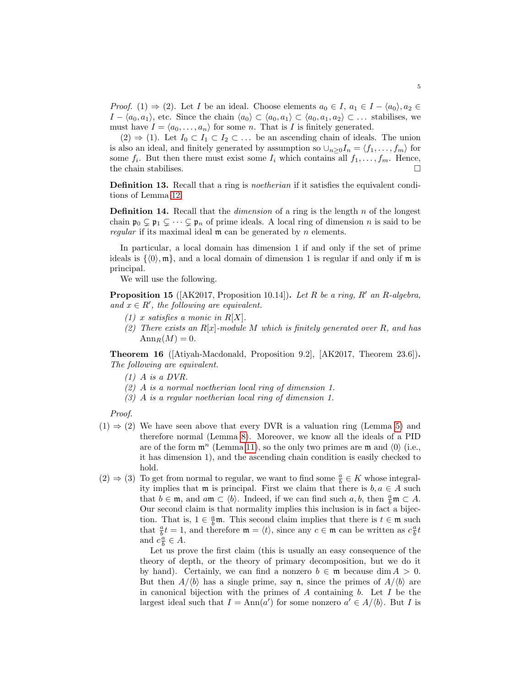*Proof.* (1)  $\Rightarrow$  (2). Let I be an ideal. Choose elements  $a_0 \in I$ ,  $a_1 \in I - \langle a_0 \rangle$ ,  $a_2 \in$  $I - \langle a_0, a_1 \rangle$ , etc. Since the chain  $\langle a_0 \rangle \subset \langle a_0, a_1 \rangle \subset \langle a_0, a_1, a_2 \rangle \subset \ldots$  stabilises, we must have  $I = \langle a_0, \ldots, a_n \rangle$  for some n. That is I is finitely generated.

 $(2) \Rightarrow (1)$ . Let  $I_0 \subset I_1 \subset I_2 \subset \dots$  be an ascending chain of ideals. The union is also an ideal, and finitely generated by assumption so  $\cup_{n\geq 0}I_n = \langle f_1, \ldots, f_m \rangle$  for some  $f_i$ . But then there must exist some  $I_i$  which contains all  $f_1, \ldots, f_m$ . Hence, the chain stabilises.  $\Box$ 

Definition 13. Recall that a ring is *noetherian* if it satisfies the equivalent conditions of Lemma [12.](#page-3-0)

**Definition 14.** Recall that the *dimension* of a ring is the length  $n$  of the longest chain  $\mathfrak{p}_0 \subsetneq \mathfrak{p}_1 \subsetneq \cdots \subsetneq \mathfrak{p}_n$  of prime ideals. A local ring of dimension n is said to be regular if its maximal ideal  $m$  can be generated by  $n$  elements.

In particular, a local domain has dimension 1 if and only if the set of prime ideals is  $\{\langle 0 \rangle, m\}$ , and a local domain of dimension 1 is regular if and only if m is principal.

We will use the following.

<span id="page-4-0"></span>**Proposition 15** ( $AK2017$ , Proposition 10.14). Let R be a ring, R' an R-algebra, and  $x \in R'$ , the following are equivalent.

- $(1)$  x satisfies a monic in R[X].
- (2) There exists an  $R[x]$ -module M which is finitely generated over R, and has  $\text{Ann}_R(M) = 0.$

Theorem 16 ([Atiyah-Macdonald, Proposition 9.2], [AK2017, Theorem 23.6]). The following are equivalent.

- $(1)$  A is a DVR.
- (2) A is a normal noetherian local ring of dimension 1.
- (3) A is a regular noetherian local ring of dimension 1.

Proof.

- $(1) \Rightarrow (2)$  We have seen above that every DVR is a valuation ring (Lemma [5\)](#page-1-0) and therefore normal (Lemma [8\)](#page-2-0). Moreover, we know all the ideals of a PID are of the form  $\mathfrak{m}^n$  (Lemma [11\)](#page-3-1), so the only two primes are  $\mathfrak{m}$  and  $\langle 0 \rangle$  (i.e., it has dimension 1), and the ascending chain condition is easily checked to hold.
- (2)  $\Rightarrow$  (3) To get from normal to regular, we want to find some  $\frac{a}{b} \in K$  whose integrality implies that m is principal. First we claim that there is  $b, a \in A$  such that  $b \in \mathfrak{m}$ , and  $a\mathfrak{m} \subset \langle b \rangle$ . Indeed, if we can find such  $a, b$ , then  $\frac{a}{b}\mathfrak{m} \subset A$ . Our second claim is that normality implies this inclusion is in fact a bijection. That is,  $1 \in \frac{a}{b}$ m. This second claim implies that there is  $t \in \mathfrak{m}$  such that  $\frac{a}{b}t = 1$ , and therefore  $\mathfrak{m} = \langle t \rangle$ , since any  $c \in \mathfrak{m}$  can be written as  $c \frac{a}{b}t$ and  $c_{\overline{b}}^{\alpha} \in A$ .

Let us prove the first claim (this is usually an easy consequence of the theory of depth, or the theory of primary decomposition, but we do it by hand). Certainly, we can find a nonzero  $b \in \mathfrak{m}$  because dim  $A > 0$ . But then  $A/\langle b \rangle$  has a single prime, say n, since the primes of  $A/\langle b \rangle$  are in canonical bijection with the primes of  $A$  containing  $b$ . Let  $I$  be the largest ideal such that  $I = \text{Ann}(a')$  for some nonzero  $a' \in A/\langle b \rangle$ . But I is